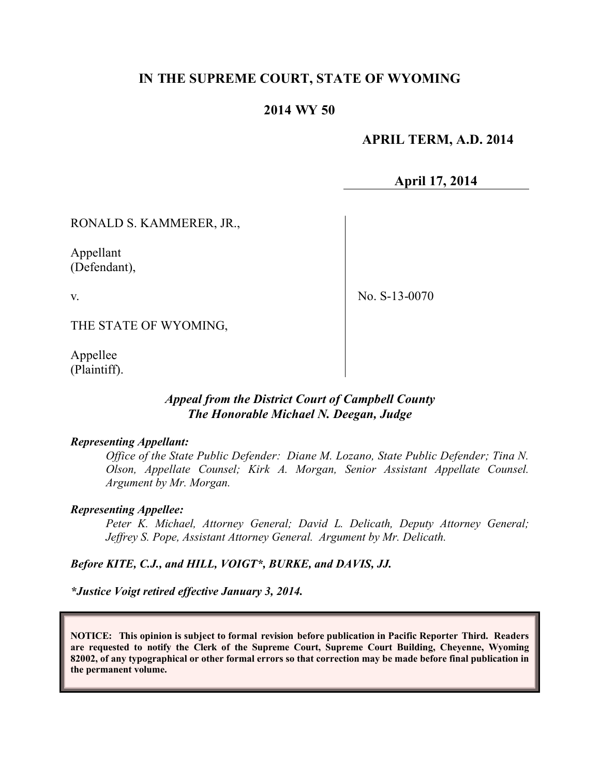### **IN THE SUPREME COURT, STATE OF WYOMING**

### **2014 WY 50**

### **APRIL TERM, A.D. 2014**

**April 17, 2014**

RONALD S. KAMMERER, JR.,

Appellant (Defendant),

v.

No. S-13-0070

THE STATE OF WYOMING,

Appellee (Plaintiff).

### *Appeal from the District Court of Campbell County The Honorable Michael N. Deegan, Judge*

#### *Representing Appellant:*

*Office of the State Public Defender: Diane M. Lozano, State Public Defender; Tina N. Olson, Appellate Counsel; Kirk A. Morgan, Senior Assistant Appellate Counsel. Argument by Mr. Morgan.*

#### *Representing Appellee:*

*Peter K. Michael, Attorney General; David L. Delicath, Deputy Attorney General; Jeffrey S. Pope, Assistant Attorney General. Argument by Mr. Delicath.*

*Before KITE, C.J., and HILL, VOIGT\*, BURKE, and DAVIS, JJ.*

*\*Justice Voigt retired effective January 3, 2014.*

**NOTICE: This opinion is subject to formal revision before publication in Pacific Reporter Third. Readers are requested to notify the Clerk of the Supreme Court, Supreme Court Building, Cheyenne, Wyoming 82002, of any typographical or other formal errors so that correction may be made before final publication in the permanent volume.**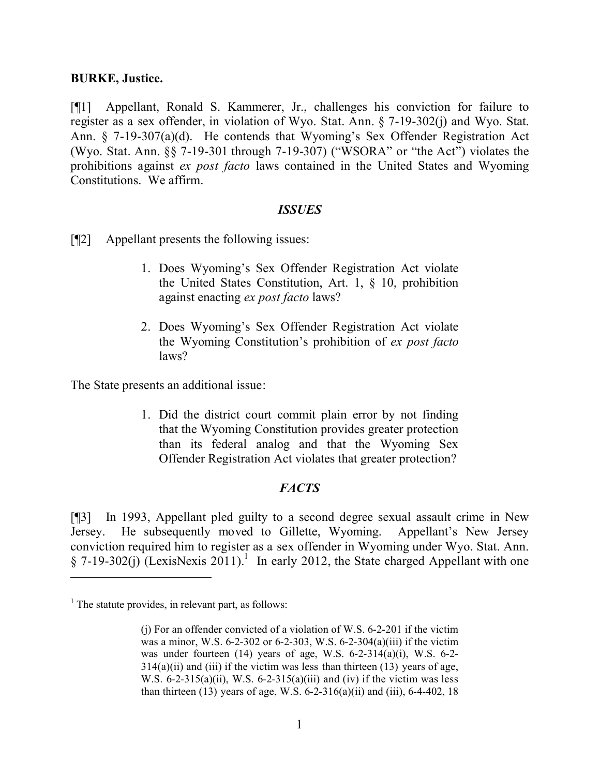#### **BURKE, Justice.**

[¶1] Appellant, Ronald S. Kammerer, Jr., challenges his conviction for failure to register as a sex offender, in violation of Wyo. Stat. Ann. § 7-19-302(j) and Wyo. Stat. Ann. § 7-19-307(a)(d). He contends that Wyoming's Sex Offender Registration Act (Wyo. Stat. Ann. §§ 7-19-301 through 7-19-307) ("WSORA" or "the Act") violates the prohibitions against *ex post facto* laws contained in the United States and Wyoming Constitutions. We affirm.

#### *ISSUES*

- [¶2] Appellant presents the following issues:
	- 1. Does Wyoming's Sex Offender Registration Act violate the United States Constitution, Art. 1, § 10, prohibition against enacting *ex post facto* laws?
	- 2. Does Wyoming's Sex Offender Registration Act violate the Wyoming Constitution's prohibition of *ex post facto* laws?

The State presents an additional issue:

1. Did the district court commit plain error by not finding that the Wyoming Constitution provides greater protection than its federal analog and that the Wyoming Sex Offender Registration Act violates that greater protection?

#### *FACTS*

[¶3] In 1993, Appellant pled guilty to a second degree sexual assault crime in New Jersey. He subsequently moved to Gillette, Wyoming. Appellant's New Jersey conviction required him to register as a sex offender in Wyoming under Wyo. Stat. Ann.  $\S$  7-19-302(j) (LexisNexis 2011).<sup>1</sup> In early 2012, the State charged Appellant with one

 $<sup>1</sup>$  The statute provides, in relevant part, as follows:</sup>

<sup>(</sup>j) For an offender convicted of a violation of W.S. 6-2-201 if the victim was a minor, W.S. 6-2-302 or 6-2-303, W.S. 6-2-304(a)(iii) if the victim was under fourteen (14) years of age, W.S. 6-2-314(a)(i), W.S. 6-2-  $314(a)(ii)$  and (iii) if the victim was less than thirteen (13) years of age, W.S.  $6-2-315(a)(ii)$ , W.S.  $6-2-315(a)(iii)$  and (iv) if the victim was less than thirteen (13) years of age, W.S.  $6-2-316(a)(ii)$  and (iii),  $6-4-402$ , 18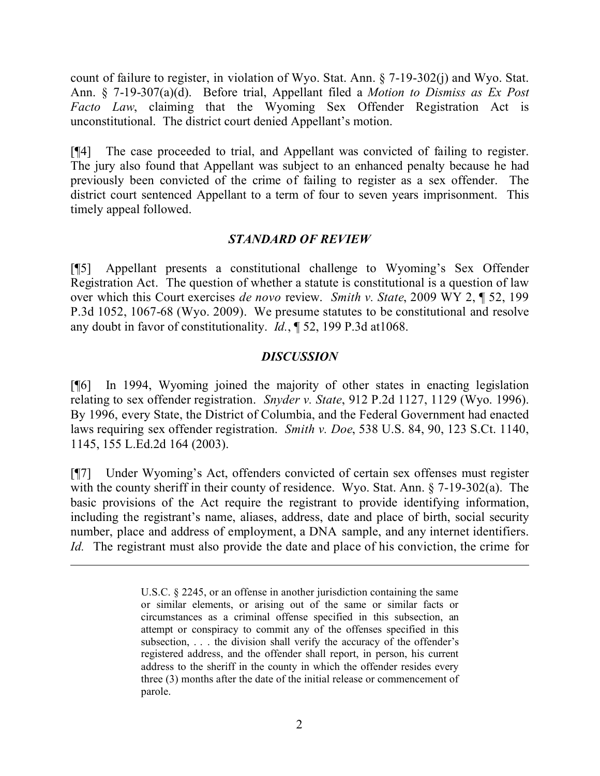count of failure to register, in violation of Wyo. Stat. Ann. § 7-19-302(j) and Wyo. Stat. Ann. § 7-19-307(a)(d). Before trial, Appellant filed a *Motion to Dismiss as Ex Post Facto Law*, claiming that the Wyoming Sex Offender Registration Act is unconstitutional. The district court denied Appellant's motion.

[¶4] The case proceeded to trial, and Appellant was convicted of failing to register. The jury also found that Appellant was subject to an enhanced penalty because he had previously been convicted of the crime of failing to register as a sex offender. The district court sentenced Appellant to a term of four to seven years imprisonment. This timely appeal followed.

### *STANDARD OF REVIEW*

[¶5] Appellant presents a constitutional challenge to Wyoming's Sex Offender Registration Act. The question of whether a statute is constitutional is a question of law over which this Court exercises *de novo* review. *Smith v. State*, 2009 WY 2, ¶ 52, 199 P.3d 1052, 1067-68 (Wyo. 2009). We presume statutes to be constitutional and resolve any doubt in favor of constitutionality. *Id.*, ¶ 52, 199 P.3d at1068.

### *DISCUSSION*

[¶6] In 1994, Wyoming joined the majority of other states in enacting legislation relating to sex offender registration. *Snyder v. State*, 912 P.2d 1127, 1129 (Wyo. 1996). By 1996, every State, the District of Columbia, and the Federal Government had enacted laws requiring sex offender registration. *Smith v. Doe*, 538 U.S. 84, 90, 123 S.Ct. 1140, 1145, 155 L.Ed.2d 164 (2003).

[¶7] Under Wyoming's Act, offenders convicted of certain sex offenses must register with the county sheriff in their county of residence. Wyo. Stat. Ann. § 7-19-302(a). The basic provisions of the Act require the registrant to provide identifying information, including the registrant's name, aliases, address, date and place of birth, social security number, place and address of employment, a DNA sample, and any internet identifiers. *Id.* The registrant must also provide the date and place of his conviction, the crime for

 $\overline{a}$ 

U.S.C. § 2245, or an offense in another jurisdiction containing the same or similar elements, or arising out of the same or similar facts or circumstances as a criminal offense specified in this subsection, an attempt or conspiracy to commit any of the offenses specified in this subsection, ... the division shall verify the accuracy of the offender's registered address, and the offender shall report, in person, his current address to the sheriff in the county in which the offender resides every three (3) months after the date of the initial release or commencement of parole.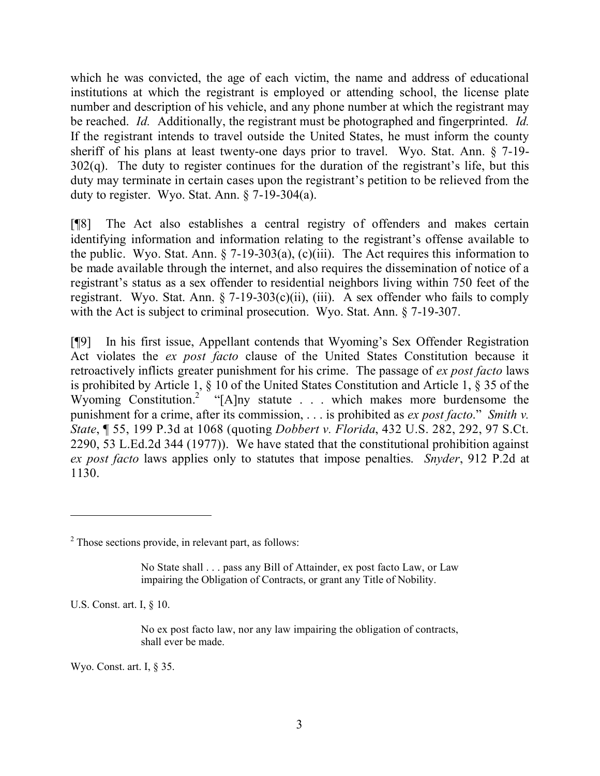which he was convicted, the age of each victim, the name and address of educational institutions at which the registrant is employed or attending school, the license plate number and description of his vehicle, and any phone number at which the registrant may be reached. *Id.* Additionally, the registrant must be photographed and fingerprinted. *Id.* If the registrant intends to travel outside the United States, he must inform the county sheriff of his plans at least twenty-one days prior to travel. Wyo. Stat. Ann. § 7-19-  $302(q)$ . The duty to register continues for the duration of the registrant's life, but this duty may terminate in certain cases upon the registrant's petition to be relieved from the duty to register. Wyo. Stat. Ann. § 7-19-304(a).

[¶8] The Act also establishes a central registry of offenders and makes certain identifying information and information relating to the registrant's offense available to the public. Wyo. Stat. Ann.  $\S$  7-19-303(a), (c)(iii). The Act requires this information to be made available through the internet, and also requires the dissemination of notice of a registrant's status as a sex offender to residential neighbors living within 750 feet of the registrant. Wyo. Stat. Ann.  $\S$  7-19-303(c)(ii), (iii). A sex offender who fails to comply with the Act is subject to criminal prosecution. Wyo. Stat. Ann. § 7-19-307.

[¶9] In his first issue, Appellant contends that Wyoming's Sex Offender Registration Act violates the *ex post facto* clause of the United States Constitution because it retroactively inflicts greater punishment for his crime. The passage of *ex post facto* laws is prohibited by Article 1, § 10 of the United States Constitution and Article 1, § 35 of the Wyoming Constitution.<sup>2</sup> "[A]ny statute . . . which makes more burdensome the punishment for a crime, after its commission, . . . is prohibited as *ex post facto*." *Smith v. State*, ¶ 55, 199 P.3d at 1068 (quoting *Dobbert v. Florida*, 432 U.S. 282, 292, 97 S.Ct. 2290, 53 L.Ed.2d 344 (1977)). We have stated that the constitutional prohibition against *ex post facto* laws applies only to statutes that impose penalties. *Snyder*, 912 P.2d at 1130.

 $2$  Those sections provide, in relevant part, as follows:

No State shall . . . pass any Bill of Attainder, ex post facto Law, or Law impairing the Obligation of Contracts, or grant any Title of Nobility.

U.S. Const. art. I, § 10.

 $\overline{a}$ 

No ex post facto law, nor any law impairing the obligation of contracts, shall ever be made.

Wyo. Const. art. I, § 35.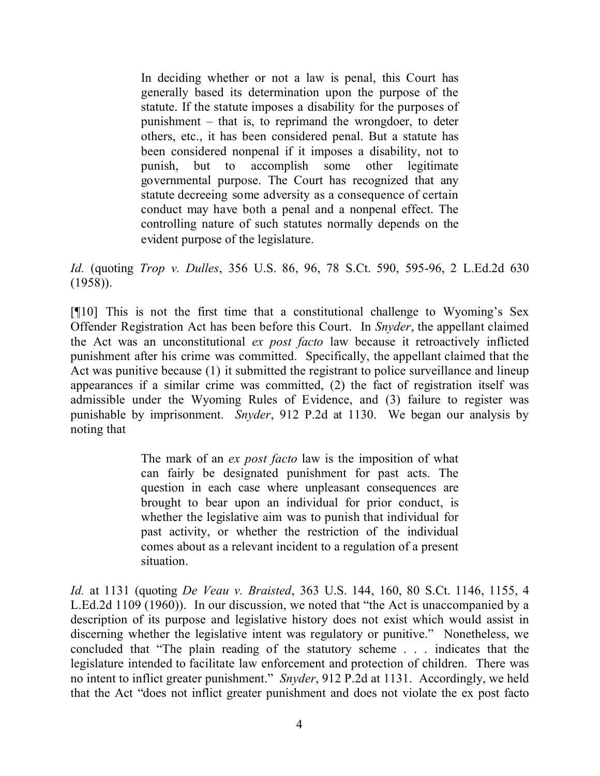In deciding whether or not a law is penal, this Court has generally based its determination upon the purpose of the statute. If the statute imposes a disability for the purposes of punishment – that is, to reprimand the wrongdoer, to deter others, etc., it has been considered penal. But a statute has been considered nonpenal if it imposes a disability, not to punish, but to accomplish some other legitimate governmental purpose. The Court has recognized that any statute decreeing some adversity as a consequence of certain conduct may have both a penal and a nonpenal effect. The controlling nature of such statutes normally depends on the evident purpose of the legislature.

*Id.* (quoting *Trop v. Dulles*, 356 U.S. 86, 96, 78 S.Ct. 590, 595-96, 2 L.Ed.2d 630 (1958)).

[¶10] This is not the first time that a constitutional challenge to Wyoming's Sex Offender Registration Act has been before this Court. In *Snyder*, the appellant claimed the Act was an unconstitutional *ex post facto* law because it retroactively inflicted punishment after his crime was committed. Specifically, the appellant claimed that the Act was punitive because (1) it submitted the registrant to police surveillance and lineup appearances if a similar crime was committed, (2) the fact of registration itself was admissible under the Wyoming Rules of Evidence, and (3) failure to register was punishable by imprisonment. *Snyder*, 912 P.2d at 1130. We began our analysis by noting that

> The mark of an *ex post facto* law is the imposition of what can fairly be designated punishment for past acts. The question in each case where unpleasant consequences are brought to bear upon an individual for prior conduct, is whether the legislative aim was to punish that individual for past activity, or whether the restriction of the individual comes about as a relevant incident to a regulation of a present situation.

*Id.* at 1131 (quoting *De Veau v. Braisted*, 363 U.S. 144, 160, 80 S.Ct. 1146, 1155, 4 L.Ed.2d 1109 (1960)). In our discussion, we noted that "the Act is unaccompanied by a description of its purpose and legislative history does not exist which would assist in discerning whether the legislative intent was regulatory or punitive." Nonetheless, we concluded that "The plain reading of the statutory scheme . . . indicates that the legislature intended to facilitate law enforcement and protection of children. There was no intent to inflict greater punishment." *Snyder*, 912 P.2d at 1131. Accordingly, we held that the Act "does not inflict greater punishment and does not violate the ex post facto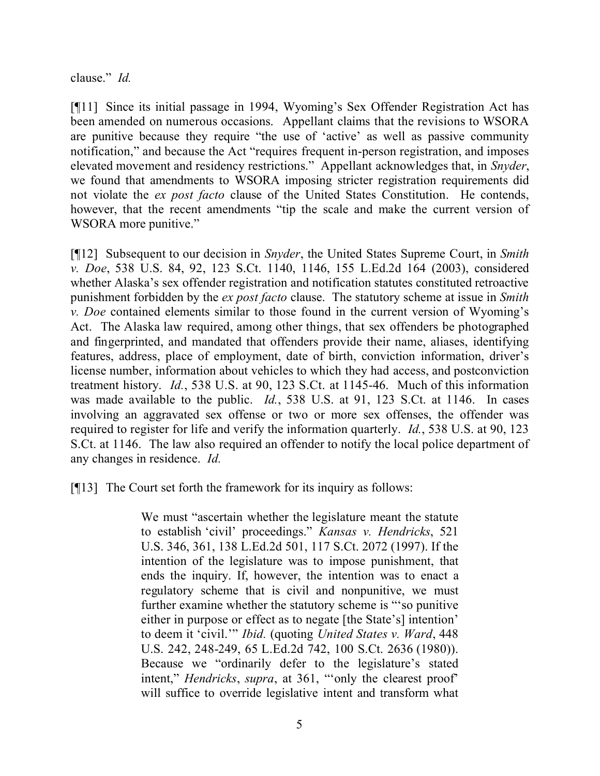clause." *Id.*

[¶11] Since its initial passage in 1994, Wyoming's Sex Offender Registration Act has been amended on numerous occasions. Appellant claims that the revisions to WSORA are punitive because they require "the use of 'active' as well as passive community notification," and because the Act "requires frequent in-person registration, and imposes elevated movement and residency restrictions." Appellant acknowledges that, in *Snyder*, we found that amendments to WSORA imposing stricter registration requirements did not violate the *ex post facto* clause of the United States Constitution. He contends, however, that the recent amendments "tip the scale and make the current version of WSORA more punitive."

[¶12] Subsequent to our decision in *Snyder*, the United States Supreme Court, in *Smith v. Doe*, 538 U.S. 84, 92, 123 S.Ct. 1140, 1146, 155 L.Ed.2d 164 (2003), considered whether Alaska's sex offender registration and notification statutes constituted retroactive punishment forbidden by the *ex post facto* clause. The statutory scheme at issue in *Smith v. Doe* contained elements similar to those found in the current version of Wyoming's Act. The Alaska law required, among other things, that sex offenders be photographed and fingerprinted, and mandated that offenders provide their name, aliases, identifying features, address, place of employment, date of birth, conviction information, driver's license number, information about vehicles to which they had access, and postconviction treatment history. *Id.*, 538 U.S. at 90, 123 S.Ct. at 1145-46. Much of this information was made available to the public. *Id.*, 538 U.S. at 91, 123 S.Ct. at 1146. In cases involving an aggravated sex offense or two or more sex offenses, the offender was required to register for life and verify the information quarterly. *Id.*, 538 U.S. at 90, 123 S.Ct. at 1146. The law also required an offender to notify the local police department of any changes in residence. *Id.*

[¶13] The Court set forth the framework for its inquiry as follows:

We must "ascertain whether the legislature meant the statute to establish 'civil' proceedings." *Kansas v. Hendricks*, 521 U.S. 346, 361, 138 L.Ed.2d 501, 117 S.Ct. 2072 (1997). If the intention of the legislature was to impose punishment, that ends the inquiry. If, however, the intention was to enact a regulatory scheme that is civil and nonpunitive, we must further examine whether the statutory scheme is "'so punitive either in purpose or effect as to negate [the State's] intention' to deem it 'civil.'" *Ibid.* (quoting *United States v. Ward*, 448 U.S. 242, 248-249, 65 L.Ed.2d 742, 100 S.Ct. 2636 (1980)). Because we "ordinarily defer to the legislature's stated intent," *Hendricks*, *supra*, at 361, "'only the clearest proof' will suffice to override legislative intent and transform what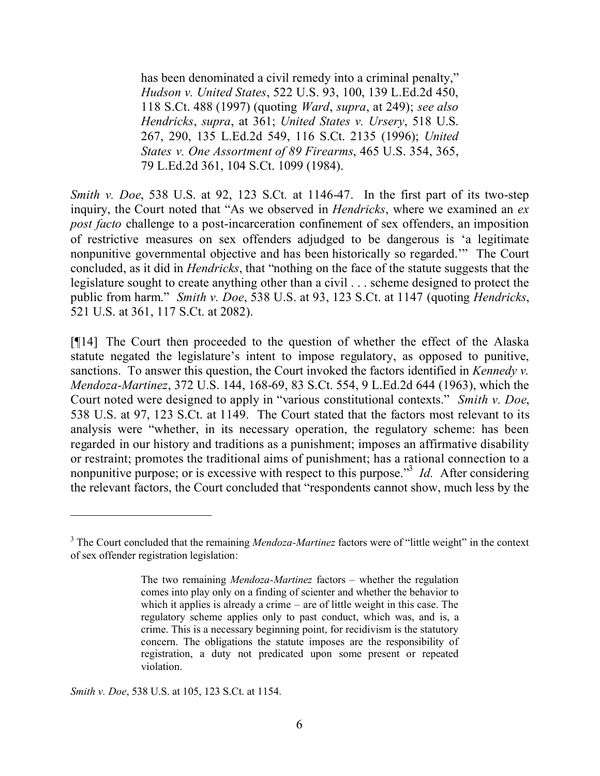has been denominated a civil remedy into a criminal penalty." *Hudson v. United States*, 522 U.S. 93, 100, 139 L.Ed.2d 450, 118 S.Ct. 488 (1997) (quoting *Ward*, *supra*, at 249); *see also Hendricks*, *supra*, at 361; *United States v. Ursery*, 518 U.S. 267, 290, 135 L.Ed.2d 549, 116 S.Ct. 2135 (1996); *United States v. One Assortment of 89 Firearms*, 465 U.S. 354, 365, 79 L.Ed.2d 361, 104 S.Ct. 1099 (1984).

*Smith v. Doe*, 538 U.S. at 92, 123 S.Ct*.* at 1146-47. In the first part of its two-step inquiry, the Court noted that "As we observed in *Hendricks*, where we examined an *ex post facto* challenge to a post-incarceration confinement of sex offenders, an imposition of restrictive measures on sex offenders adjudged to be dangerous is 'a legitimate nonpunitive governmental objective and has been historically so regarded.'" The Court concluded, as it did in *Hendricks*, that "nothing on the face of the statute suggests that the legislature sought to create anything other than a civil . . . scheme designed to protect the public from harm." *Smith v. Doe*, 538 U.S. at 93, 123 S.Ct. at 1147 (quoting *Hendricks*, 521 U.S. at 361, 117 S.Ct. at 2082).

[¶14] The Court then proceeded to the question of whether the effect of the Alaska statute negated the legislature's intent to impose regulatory, as opposed to punitive, sanctions. To answer this question, the Court invoked the factors identified in *Kennedy v. Mendoza-Martinez*, 372 U.S. 144, 168-69, 83 S.Ct. 554, 9 L.Ed.2d 644 (1963), which the Court noted were designed to apply in "various constitutional contexts." *Smith v. Doe*, 538 U.S. at 97, 123 S.Ct. at 1149. The Court stated that the factors most relevant to its analysis were "whether, in its necessary operation, the regulatory scheme: has been regarded in our history and traditions as a punishment; imposes an affirmative disability or restraint; promotes the traditional aims of punishment; has a rational connection to a nonpunitive purpose; or is excessive with respect to this purpose.<sup>33</sup> *Id.* After considering the relevant factors, the Court concluded that "respondents cannot show, much less by the

*Smith v. Doe*, 538 U.S. at 105, 123 S.Ct. at 1154.

 $\overline{a}$ 

<sup>&</sup>lt;sup>3</sup> The Court concluded that the remaining *Mendoza-Martinez* factors were of "little weight" in the context of sex offender registration legislation:

The two remaining *Mendoza-Martinez* factors – whether the regulation comes into play only on a finding of scienter and whether the behavior to which it applies is already a crime – are of little weight in this case. The regulatory scheme applies only to past conduct, which was, and is, a crime. This is a necessary beginning point, for recidivism is the statutory concern. The obligations the statute imposes are the responsibility of registration, a duty not predicated upon some present or repeated violation.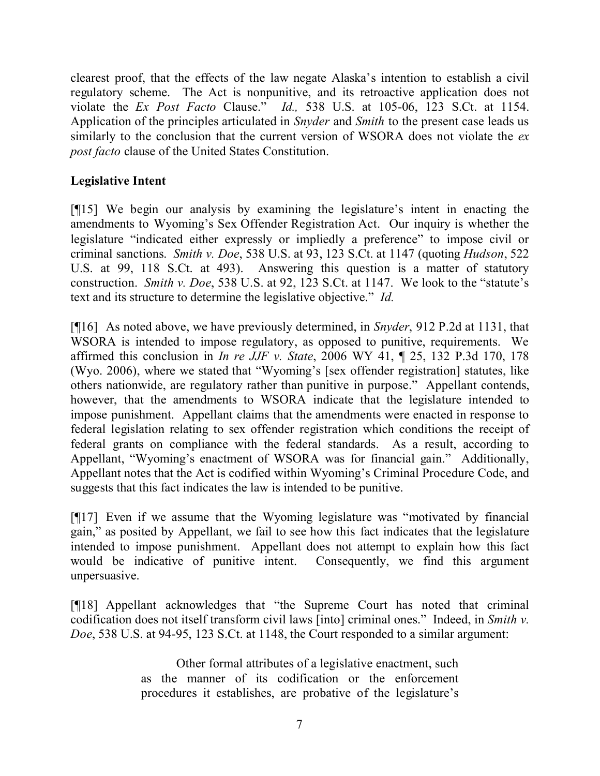clearest proof, that the effects of the law negate Alaska's intention to establish a civil regulatory scheme. The Act is nonpunitive, and its retroactive application does not violate the *Ex Post Facto* Clause." *Id.,* 538 U.S. at 105-06, 123 S.Ct. at 1154. Application of the principles articulated in *Snyder* and *Smith* to the present case leads us similarly to the conclusion that the current version of WSORA does not violate the *ex post facto* clause of the United States Constitution.

## **Legislative Intent**

[¶15] We begin our analysis by examining the legislature's intent in enacting the amendments to Wyoming's Sex Offender Registration Act. Our inquiry is whether the legislature "indicated either expressly or impliedly a preference" to impose civil or criminal sanctions. *Smith v. Doe*, 538 U.S. at 93, 123 S.Ct. at 1147 (quoting *Hudson*, 522 U.S. at 99, 118 S.Ct. at 493). Answering this question is a matter of statutory construction. *Smith v. Doe*, 538 U.S. at 92, 123 S.Ct. at 1147. We look to the "statute's text and its structure to determine the legislative objective." *Id.*

[¶16] As noted above, we have previously determined, in *Snyder*, 912 P.2d at 1131, that WSORA is intended to impose regulatory, as opposed to punitive, requirements. We affirmed this conclusion in *In re JJF v. State*, 2006 WY 41, ¶ 25, 132 P.3d 170, 178 (Wyo. 2006), where we stated that "Wyoming's [sex offender registration] statutes, like others nationwide, are regulatory rather than punitive in purpose." Appellant contends, however, that the amendments to WSORA indicate that the legislature intended to impose punishment. Appellant claims that the amendments were enacted in response to federal legislation relating to sex offender registration which conditions the receipt of federal grants on compliance with the federal standards. As a result, according to Appellant, "Wyoming's enactment of WSORA was for financial gain." Additionally, Appellant notes that the Act is codified within Wyoming's Criminal Procedure Code, and suggests that this fact indicates the law is intended to be punitive.

[¶17] Even if we assume that the Wyoming legislature was "motivated by financial gain," as posited by Appellant, we fail to see how this fact indicates that the legislature intended to impose punishment. Appellant does not attempt to explain how this fact would be indicative of punitive intent. Consequently, we find this argument unpersuasive.

[¶18] Appellant acknowledges that "the Supreme Court has noted that criminal codification does not itself transform civil laws [into] criminal ones." Indeed, in *Smith v. Doe*, 538 U.S. at 94-95, 123 S.Ct. at 1148, the Court responded to a similar argument:

> Other formal attributes of a legislative enactment, such as the manner of its codification or the enforcement procedures it establishes, are probative of the legislature's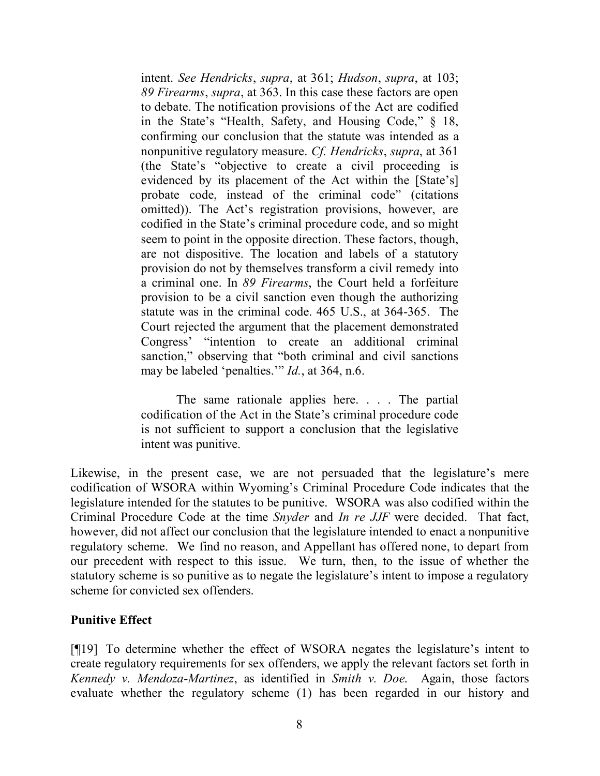intent. *See Hendricks*, *supra*, at 361; *Hudson*, *supra*, at 103; *89 Firearms*, *supra*, at 363. In this case these factors are open to debate. The notification provisions of the Act are codified in the State's "Health, Safety, and Housing Code," § 18, confirming our conclusion that the statute was intended as a nonpunitive regulatory measure. *Cf. Hendricks*, *supra*, at 361 (the State's "objective to create a civil proceeding is evidenced by its placement of the Act within the [State's] probate code, instead of the criminal code" (citations omitted)). The Act's registration provisions, however, are codified in the State's criminal procedure code, and so might seem to point in the opposite direction. These factors, though, are not dispositive. The location and labels of a statutory provision do not by themselves transform a civil remedy into a criminal one. In *89 Firearms*, the Court held a forfeiture provision to be a civil sanction even though the authorizing statute was in the criminal code. 465 U.S., at 364-365. The Court rejected the argument that the placement demonstrated Congress' "intention to create an additional criminal sanction," observing that "both criminal and civil sanctions" may be labeled 'penalties.'" *Id.*, at 364, n.6.

The same rationale applies here. . . . The partial codification of the Act in the State's criminal procedure code is not sufficient to support a conclusion that the legislative intent was punitive.

Likewise, in the present case, we are not persuaded that the legislature's mere codification of WSORA within Wyoming's Criminal Procedure Code indicates that the legislature intended for the statutes to be punitive. WSORA was also codified within the Criminal Procedure Code at the time *Snyder* and *In re JJF* were decided. That fact, however, did not affect our conclusion that the legislature intended to enact a nonpunitive regulatory scheme. We find no reason, and Appellant has offered none, to depart from our precedent with respect to this issue. We turn, then, to the issue of whether the statutory scheme is so punitive as to negate the legislature's intent to impose a regulatory scheme for convicted sex offenders.

#### **Punitive Effect**

[¶19] To determine whether the effect of WSORA negates the legislature's intent to create regulatory requirements for sex offenders, we apply the relevant factors set forth in *Kennedy v. Mendoza-Martinez*, as identified in *Smith v. Doe*. Again, those factors evaluate whether the regulatory scheme (1) has been regarded in our history and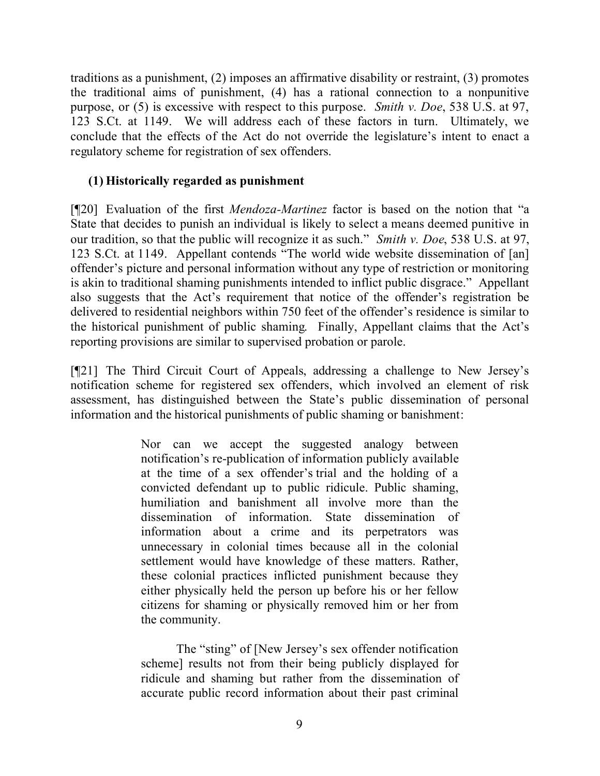traditions as a punishment, (2) imposes an affirmative disability or restraint, (3) promotes the traditional aims of punishment, (4) has a rational connection to a nonpunitive purpose, or (5) is excessive with respect to this purpose. *Smith v. Doe*, 538 U.S. at 97, 123 S.Ct. at 1149. We will address each of these factors in turn. Ultimately, we conclude that the effects of the Act do not override the legislature's intent to enact a regulatory scheme for registration of sex offenders.

## **(1) Historically regarded as punishment**

[¶20] Evaluation of the first *Mendoza-Martinez* factor is based on the notion that "a State that decides to punish an individual is likely to select a means deemed punitive in our tradition, so that the public will recognize it as such." *Smith v. Doe*, 538 U.S. at 97, 123 S.Ct. at 1149. Appellant contends "The world wide website dissemination of [an] offender's picture and personal information without any type of restriction or monitoring is akin to traditional shaming punishments intended to inflict public disgrace." Appellant also suggests that the Act's requirement that notice of the offender's registration be delivered to residential neighbors within 750 feet of the offender's residence is similar to the historical punishment of public shaming. Finally, Appellant claims that the Act's reporting provisions are similar to supervised probation or parole.

[¶21] The Third Circuit Court of Appeals, addressing a challenge to New Jersey's notification scheme for registered sex offenders, which involved an element of risk assessment, has distinguished between the State's public dissemination of personal information and the historical punishments of public shaming or banishment:

> Nor can we accept the suggested analogy between notification's re-publication of information publicly available at the time of a sex offender's trial and the holding of a convicted defendant up to public ridicule. Public shaming, humiliation and banishment all involve more than the dissemination of information. State dissemination of information about a crime and its perpetrators was unnecessary in colonial times because all in the colonial settlement would have knowledge of these matters. Rather, these colonial practices inflicted punishment because they either physically held the person up before his or her fellow citizens for shaming or physically removed him or her from the community.

> The "sting" of [New Jersey's sex offender notification scheme] results not from their being publicly displayed for ridicule and shaming but rather from the dissemination of accurate public record information about their past criminal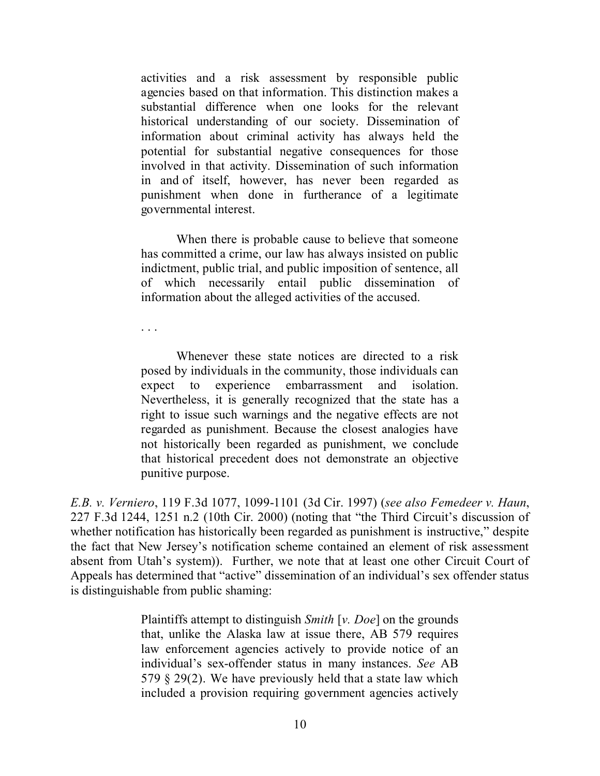activities and a risk assessment by responsible public agencies based on that information. This distinction makes a substantial difference when one looks for the relevant historical understanding of our society. Dissemination of information about criminal activity has always held the potential for substantial negative consequences for those involved in that activity. Dissemination of such information in and of itself, however, has never been regarded as punishment when done in furtherance of a legitimate governmental interest.

When there is probable cause to believe that someone has committed a crime, our law has always insisted on public indictment, public trial, and public imposition of sentence, all of which necessarily entail public dissemination of information about the alleged activities of the accused.

. . .

Whenever these state notices are directed to a risk posed by individuals in the community, those individuals can expect to experience embarrassment and isolation. Nevertheless, it is generally recognized that the state has a right to issue such warnings and the negative effects are not regarded as punishment. Because the closest analogies have not historically been regarded as punishment, we conclude that historical precedent does not demonstrate an objective punitive purpose.

*E.B. v. Verniero*, 119 F.3d 1077, 1099-1101 (3d Cir. 1997) (*see also Femedeer v. Haun*, 227 F.3d 1244, 1251 n.2 (10th Cir. 2000) (noting that "the Third Circuit's discussion of whether notification has historically been regarded as punishment is instructive," despite the fact that New Jersey's notification scheme contained an element of risk assessment absent from Utah's system)). Further, we note that at least one other Circuit Court of Appeals has determined that "active" dissemination of an individual's sex offender status is distinguishable from public shaming:

> Plaintiffs attempt to distinguish *Smith* [*v. Doe*] on the grounds that, unlike the Alaska law at issue there, AB 579 requires law enforcement agencies actively to provide notice of an individual's sex-offender status in many instances. *See* AB 579 § 29(2). We have previously held that a state law which included a provision requiring government agencies actively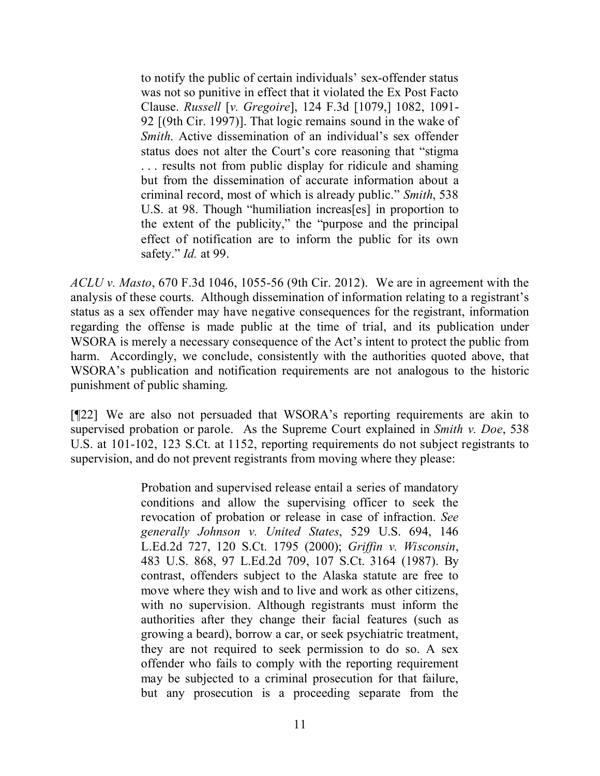to notify the public of certain individuals' sex-offender status was not so punitive in effect that it violated the Ex Post Facto Clause. *Russell* [*v. Gregoire*], 124 F.3d [1079,] 1082, 1091- 92 [(9th Cir. 1997)]. That logic remains sound in the wake of *Smith*. Active dissemination of an individual's sex offender status does not alter the Court's core reasoning that "stigma . . . results not from public display for ridicule and shaming but from the dissemination of accurate information about a criminal record, most of which is already public." *Smith*, 538 U.S. at 98. Though "humiliation increas[es] in proportion to the extent of the publicity," the "purpose and the principal effect of notification are to inform the public for its own safety." *Id.* at 99.

*ACLU v. Masto*, 670 F.3d 1046, 1055-56 (9th Cir. 2012). We are in agreement with the analysis of these courts. Although dissemination of information relating to a registrant's status as a sex offender may have negative consequences for the registrant, information regarding the offense is made public at the time of trial, and its publication under WSORA is merely a necessary consequence of the Act's intent to protect the public from harm. Accordingly, we conclude, consistently with the authorities quoted above, that WSORA's publication and notification requirements are not analogous to the historic punishment of public shaming.

[¶22] We are also not persuaded that WSORA's reporting requirements are akin to supervised probation or parole. As the Supreme Court explained in *Smith v. Doe*, 538 U.S. at 101-102, 123 S.Ct. at 1152, reporting requirements do not subject registrants to supervision, and do not prevent registrants from moving where they please:

> Probation and supervised release entail a series of mandatory conditions and allow the supervising officer to seek the revocation of probation or release in case of infraction. *See generally Johnson v. United States*, 529 U.S. 694, 146 L.Ed.2d 727, 120 S.Ct. 1795 (2000); *Griffin v. Wisconsin*, 483 U.S. 868, 97 L.Ed.2d 709, 107 S.Ct. 3164 (1987). By contrast, offenders subject to the Alaska statute are free to move where they wish and to live and work as other citizens, with no supervision. Although registrants must inform the authorities after they change their facial features (such as growing a beard), borrow a car, or seek psychiatric treatment, they are not required to seek permission to do so. A sex offender who fails to comply with the reporting requirement may be subjected to a criminal prosecution for that failure, but any prosecution is a proceeding separate from the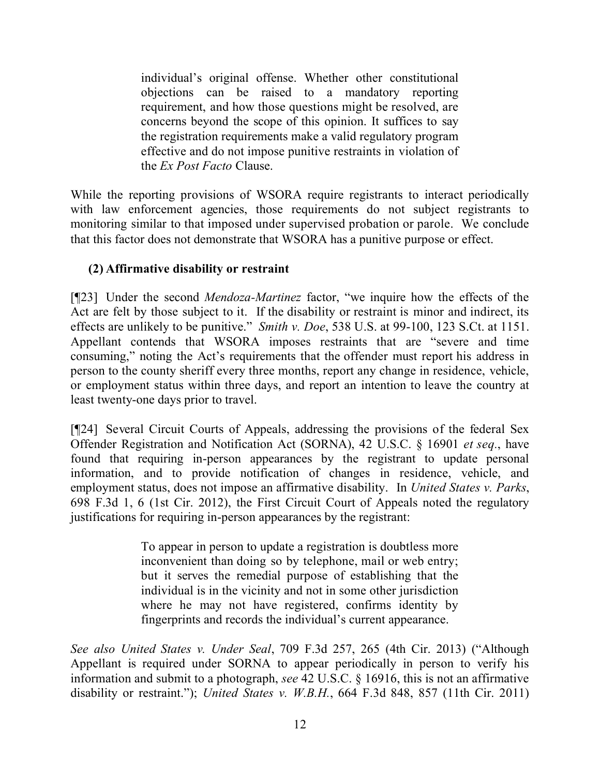individual's original offense. Whether other constitutional objections can be raised to a mandatory reporting requirement, and how those questions might be resolved, are concerns beyond the scope of this opinion. It suffices to say the registration requirements make a valid regulatory program effective and do not impose punitive restraints in violation of the *Ex Post Facto* Clause.

While the reporting provisions of WSORA require registrants to interact periodically with law enforcement agencies, those requirements do not subject registrants to monitoring similar to that imposed under supervised probation or parole. We conclude that this factor does not demonstrate that WSORA has a punitive purpose or effect.

# **(2) Affirmative disability or restraint**

[¶23] Under the second *Mendoza-Martinez* factor, "we inquire how the effects of the Act are felt by those subject to it. If the disability or restraint is minor and indirect, its effects are unlikely to be punitive." *Smith v. Doe*, 538 U.S. at 99-100, 123 S.Ct. at 1151. Appellant contends that WSORA imposes restraints that are "severe and time consuming," noting the Act's requirements that the offender must report his address in person to the county sheriff every three months, report any change in residence, vehicle, or employment status within three days, and report an intention to leave the country at least twenty-one days prior to travel.

[¶24] Several Circuit Courts of Appeals, addressing the provisions of the federal Sex Offender Registration and Notification Act (SORNA), 42 U.S.C. § 16901 *et seq.*, have found that requiring in-person appearances by the registrant to update personal information, and to provide notification of changes in residence, vehicle, and employment status, does not impose an affirmative disability. In *United States v. Parks*, 698 F.3d 1, 6 (1st Cir. 2012), the First Circuit Court of Appeals noted the regulatory justifications for requiring in-person appearances by the registrant:

> To appear in person to update a registration is doubtless more inconvenient than doing so by telephone, mail or web entry; but it serves the remedial purpose of establishing that the individual is in the vicinity and not in some other jurisdiction where he may not have registered, confirms identity by fingerprints and records the individual's current appearance.

*See also United States v. Under Seal*, 709 F.3d 257, 265 (4th Cir. 2013) ("Although Appellant is required under SORNA to appear periodically in person to verify his information and submit to a photograph, *see* 42 U.S.C. § 16916, this is not an affirmative disability or restraint."); *United States v. W.B.H.*, 664 F.3d 848, 857 (11th Cir. 2011)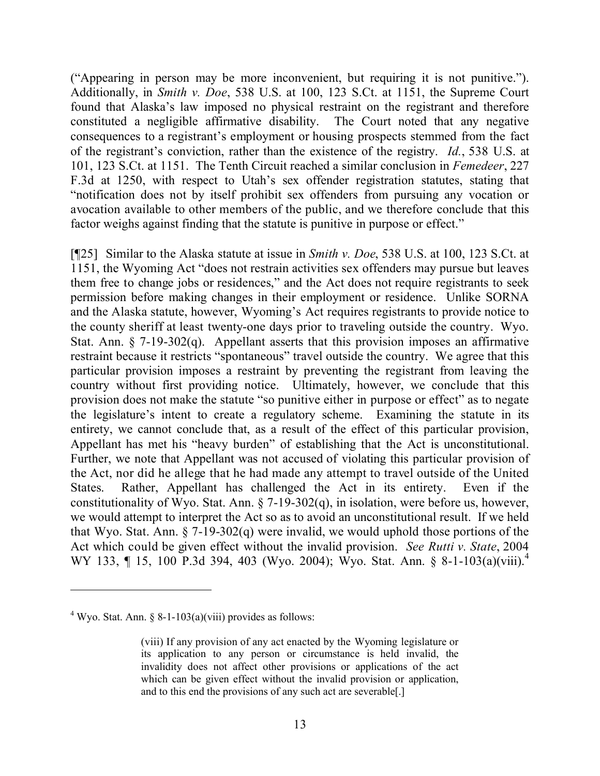("Appearing in person may be more inconvenient, but requiring it is not punitive."). Additionally, in *Smith v. Doe*, 538 U.S. at 100, 123 S.Ct. at 1151, the Supreme Court found that Alaska's law imposed no physical restraint on the registrant and therefore constituted a negligible affirmative disability. The Court noted that any negative consequences to a registrant's employment or housing prospects stemmed from the fact of the registrant's conviction, rather than the existence of the registry. *Id.*, 538 U.S. at 101, 123 S.Ct. at 1151. The Tenth Circuit reached a similar conclusion in *Femedeer*, 227 F.3d at 1250, with respect to Utah's sex offender registration statutes, stating that "notification does not by itself prohibit sex offenders from pursuing any vocation or avocation available to other members of the public, and we therefore conclude that this factor weighs against finding that the statute is punitive in purpose or effect."

[¶25] Similar to the Alaska statute at issue in *Smith v. Doe*, 538 U.S. at 100, 123 S.Ct. at 1151, the Wyoming Act "does not restrain activities sex offenders may pursue but leaves them free to change jobs or residences," and the Act does not require registrants to seek permission before making changes in their employment or residence. Unlike SORNA and the Alaska statute, however, Wyoming's Act requires registrants to provide notice to the county sheriff at least twenty-one days prior to traveling outside the country. Wyo. Stat. Ann.  $\S$  7-19-302(q). Appellant asserts that this provision imposes an affirmative restraint because it restricts "spontaneous" travel outside the country. We agree that this particular provision imposes a restraint by preventing the registrant from leaving the country without first providing notice. Ultimately, however, we conclude that this provision does not make the statute "so punitive either in purpose or effect" as to negate the legislature's intent to create a regulatory scheme. Examining the statute in its entirety, we cannot conclude that, as a result of the effect of this particular provision, Appellant has met his "heavy burden" of establishing that the Act is unconstitutional. Further, we note that Appellant was not accused of violating this particular provision of the Act, nor did he allege that he had made any attempt to travel outside of the United States. Rather, Appellant has challenged the Act in its entirety. Even if the constitutionality of Wyo. Stat. Ann. § 7-19-302(q), in isolation, were before us, however, we would attempt to interpret the Act so as to avoid an unconstitutional result. If we held that Wyo. Stat. Ann. § 7-19-302(q) were invalid, we would uphold those portions of the Act which could be given effect without the invalid provision. *See Rutti v. State*, 2004 WY 133, ¶ 15, 100 P.3d 394, 403 (Wyo. 2004); Wyo. Stat. Ann. § 8-1-103(a)(viii).<sup>4</sup>

 $\overline{a}$ 

<sup>&</sup>lt;sup>4</sup> Wyo. Stat. Ann. § 8-1-103(a)(viii) provides as follows:

<sup>(</sup>viii) If any provision of any act enacted by the Wyoming legislature or its application to any person or circumstance is held invalid, the invalidity does not affect other provisions or applications of the act which can be given effect without the invalid provision or application, and to this end the provisions of any such act are severable[.]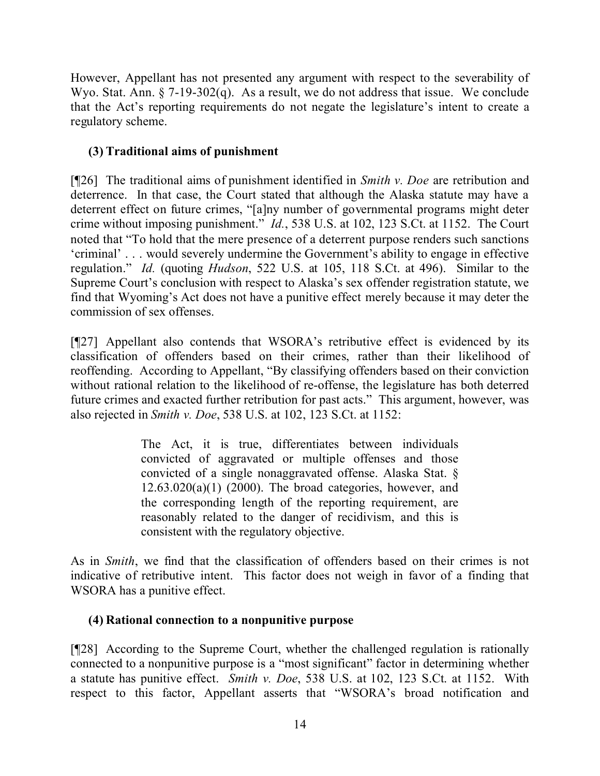However, Appellant has not presented any argument with respect to the severability of Wyo. Stat. Ann. § 7-19-302(q). As a result, we do not address that issue. We conclude that the Act's reporting requirements do not negate the legislature's intent to create a regulatory scheme.

# **(3) Traditional aims of punishment**

[¶26] The traditional aims of punishment identified in *Smith v. Doe* are retribution and deterrence. In that case, the Court stated that although the Alaska statute may have a deterrent effect on future crimes, "[a]ny number of governmental programs might deter crime without imposing punishment." *Id.*, 538 U.S. at 102, 123 S.Ct. at 1152. The Court noted that "To hold that the mere presence of a deterrent purpose renders such sanctions 'criminal' . . . would severely undermine the Government's ability to engage in effective regulation." *Id.* (quoting *Hudson*, 522 U.S. at 105, 118 S.Ct. at 496). Similar to the Supreme Court's conclusion with respect to Alaska's sex offender registration statute, we find that Wyoming's Act does not have a punitive effect merely because it may deter the commission of sex offenses.

[¶27] Appellant also contends that WSORA's retributive effect is evidenced by its classification of offenders based on their crimes, rather than their likelihood of reoffending. According to Appellant, "By classifying offenders based on their conviction without rational relation to the likelihood of re-offense, the legislature has both deterred future crimes and exacted further retribution for past acts." This argument, however, was also rejected in *Smith v. Doe*, 538 U.S. at 102, 123 S.Ct. at 1152:

> The Act, it is true, differentiates between individuals convicted of aggravated or multiple offenses and those convicted of a single nonaggravated offense. Alaska Stat. §  $12.63.020(a)(1)$  (2000). The broad categories, however, and the corresponding length of the reporting requirement, are reasonably related to the danger of recidivism, and this is consistent with the regulatory objective.

As in *Smith*, we find that the classification of offenders based on their crimes is not indicative of retributive intent. This factor does not weigh in favor of a finding that WSORA has a punitive effect.

# **(4) Rational connection to a nonpunitive purpose**

[¶28] According to the Supreme Court, whether the challenged regulation is rationally connected to a nonpunitive purpose is a "most significant" factor in determining whether a statute has punitive effect. *Smith v. Doe*, 538 U.S. at 102, 123 S.Ct. at 1152. With respect to this factor, Appellant asserts that "WSORA's broad notification and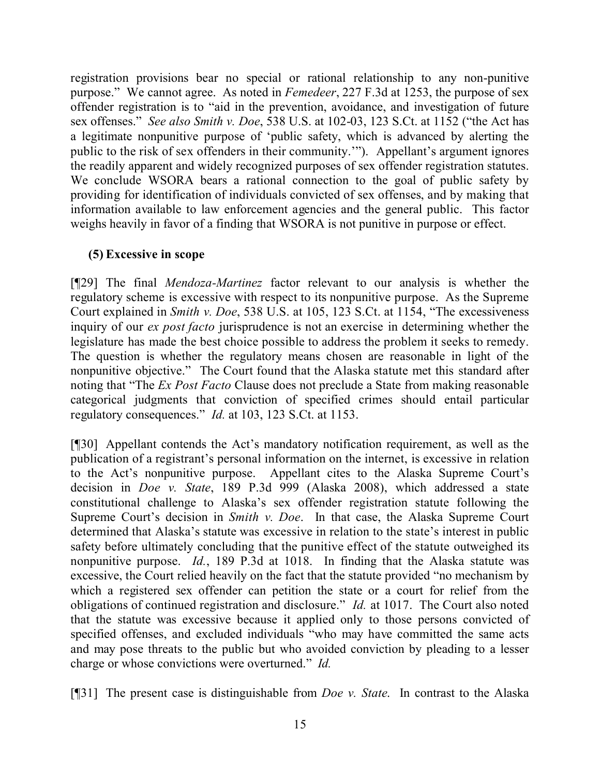registration provisions bear no special or rational relationship to any non-punitive purpose." We cannot agree. As noted in *Femedeer*, 227 F.3d at 1253, the purpose of sex offender registration is to "aid in the prevention, avoidance, and investigation of future sex offenses." *See also Smith v. Doe*, 538 U.S. at 102-03, 123 S.Ct. at 1152 ("the Act has a legitimate nonpunitive purpose of 'public safety, which is advanced by alerting the public to the risk of sex offenders in their community.'"). Appellant's argument ignores the readily apparent and widely recognized purposes of sex offender registration statutes. We conclude WSORA bears a rational connection to the goal of public safety by providing for identification of individuals convicted of sex offenses, and by making that information available to law enforcement agencies and the general public. This factor weighs heavily in favor of a finding that WSORA is not punitive in purpose or effect.

## **(5) Excessive in scope**

[¶29] The final *Mendoza-Martinez* factor relevant to our analysis is whether the regulatory scheme is excessive with respect to its nonpunitive purpose. As the Supreme Court explained in *Smith v. Doe*, 538 U.S. at 105, 123 S.Ct. at 1154, "The excessiveness inquiry of our *ex post facto* jurisprudence is not an exercise in determining whether the legislature has made the best choice possible to address the problem it seeks to remedy. The question is whether the regulatory means chosen are reasonable in light of the nonpunitive objective." The Court found that the Alaska statute met this standard after noting that "The *Ex Post Facto* Clause does not preclude a State from making reasonable categorical judgments that conviction of specified crimes should entail particular regulatory consequences." *Id.* at 103, 123 S.Ct. at 1153.

[¶30] Appellant contends the Act's mandatory notification requirement, as well as the publication of a registrant's personal information on the internet, is excessive in relation to the Act's nonpunitive purpose. Appellant cites to the Alaska Supreme Court's decision in *Doe v. State*, 189 P.3d 999 (Alaska 2008), which addressed a state constitutional challenge to Alaska's sex offender registration statute following the Supreme Court's decision in *Smith v. Doe*. In that case, the Alaska Supreme Court determined that Alaska's statute was excessive in relation to the state's interest in public safety before ultimately concluding that the punitive effect of the statute outweighed its nonpunitive purpose. *Id.*, 189 P.3d at 1018. In finding that the Alaska statute was excessive, the Court relied heavily on the fact that the statute provided "no mechanism by which a registered sex offender can petition the state or a court for relief from the obligations of continued registration and disclosure." *Id.* at 1017. The Court also noted that the statute was excessive because it applied only to those persons convicted of specified offenses, and excluded individuals "who may have committed the same acts and may pose threats to the public but who avoided conviction by pleading to a lesser charge or whose convictions were overturned." *Id.*

[¶31] The present case is distinguishable from *Doe v. State*. In contrast to the Alaska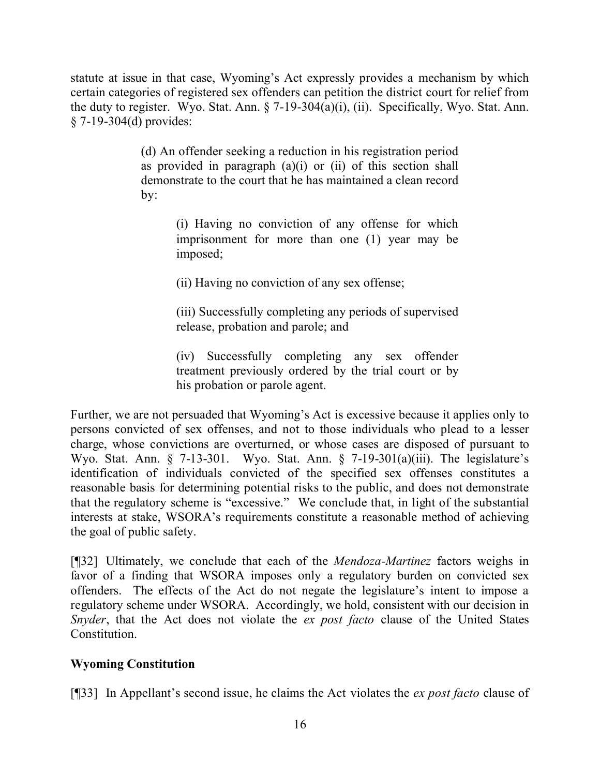statute at issue in that case, Wyoming's Act expressly provides a mechanism by which certain categories of registered sex offenders can petition the district court for relief from the duty to register. Wyo. Stat. Ann. § 7-19-304(a)(i), (ii). Specifically, Wyo. Stat. Ann. § 7-19-304(d) provides:

> (d) An offender seeking a reduction in his registration period as provided in paragraph  $(a)(i)$  or  $(ii)$  of this section shall demonstrate to the court that he has maintained a clean record by:

> > (i) Having no conviction of any offense for which imprisonment for more than one (1) year may be imposed;

(ii) Having no conviction of any sex offense;

(iii) Successfully completing any periods of supervised release, probation and parole; and

(iv) Successfully completing any sex offender treatment previously ordered by the trial court or by his probation or parole agent.

Further, we are not persuaded that Wyoming's Act is excessive because it applies only to persons convicted of sex offenses, and not to those individuals who plead to a lesser charge, whose convictions are overturned, or whose cases are disposed of pursuant to Wyo. Stat. Ann. § 7-13-301. Wyo. Stat. Ann. § 7-19-301(a)(iii). The legislature's identification of individuals convicted of the specified sex offenses constitutes a reasonable basis for determining potential risks to the public, and does not demonstrate that the regulatory scheme is "excessive." We conclude that, in light of the substantial interests at stake, WSORA's requirements constitute a reasonable method of achieving the goal of public safety.

[¶32] Ultimately, we conclude that each of the *Mendoza-Martinez* factors weighs in favor of a finding that WSORA imposes only a regulatory burden on convicted sex offenders. The effects of the Act do not negate the legislature's intent to impose a regulatory scheme under WSORA. Accordingly, we hold, consistent with our decision in *Snyder*, that the Act does not violate the *ex post facto* clause of the United States **Constitution** 

# **Wyoming Constitution**

[¶33] In Appellant's second issue, he claims the Act violates the *ex post facto* clause of